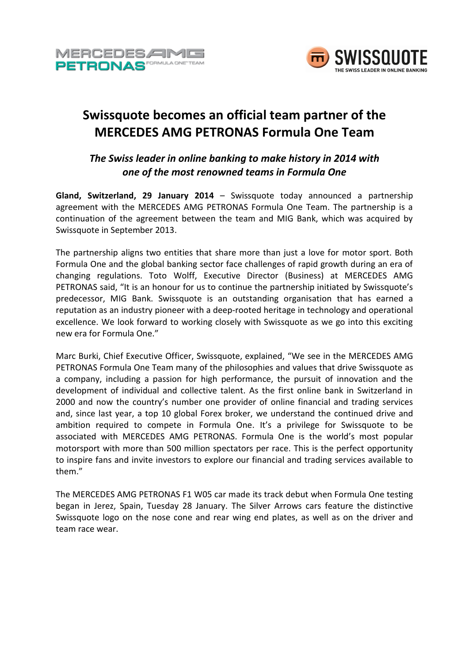



# **Swissquote becomes an official team partner of the MERCEDES AMG PETRONAS Formula One Team**

# *The Swiss leader in online banking to make history in 2014 with one of the most renowned teams in Formula One*

**Gland, Switzerland, 29 January 2014** – Swissquote today announced a partnership agreement with the MERCEDES AMG PETRONAS Formula One Team. The partnership is a continuation of the agreement between the team and MIG Bank, which was acquired by Swissquote in September 2013.

The partnership aligns two entities that share more than just a love for motor sport. Both Formula One and the global banking sector face challenges of rapid growth during an era of changing regulations. Toto Wolff, Executive Director (Business) at MERCEDES AMG PETRONAS said, "It is an honour for us to continue the partnership initiated by Swissquote's predecessor, MIG Bank. Swissquote is an outstanding organisation that has earned a reputation as an industry pioneer with a deep-rooted heritage in technology and operational excellence. We look forward to working closely with Swissquote as we go into this exciting new era for Formula One."

Marc Burki, Chief Executive Officer, Swissquote, explained, "We see in the MERCEDES AMG PETRONAS Formula One Team many of the philosophies and values that drive Swissquote as a company, including a passion for high performance, the pursuit of innovation and the development of individual and collective talent. As the first online bank in Switzerland in 2000 and now the country's number one provider of online financial and trading services and, since last year, a top 10 global Forex broker, we understand the continued drive and ambition required to compete in Formula One. It's a privilege for Swissquote to be associated with MERCEDES AMG PETRONAS. Formula One is the world's most popular motorsport with more than 500 million spectators per race. This is the perfect opportunity to inspire fans and invite investors to explore our financial and trading services available to them."

The MERCEDES AMG PETRONAS F1 W05 car made its track debut when Formula One testing began in Jerez, Spain, Tuesday 28 January. The Silver Arrows cars feature the distinctive Swissquote logo on the nose cone and rear wing end plates, as well as on the driver and team race wear.